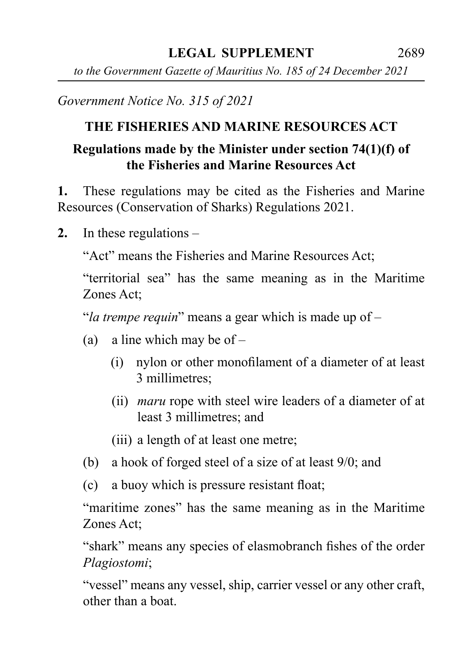*to the Government Gazette of Mauritius No. 185 of 24 December 2021*

*Government Notice No. 315 of 2021*

## **THE FISHERIES AND MARINE RESOURCES ACT**

## **Regulations made by the Minister under section 74(1)(f) of the Fisheries and Marine Resources Act**

**1.** These regulations may be cited as the Fisheries and Marine Resources (Conservation of Sharks) Regulations 2021.

**2.** In these regulations –

"Act" means the Fisheries and Marine Resources Act;

"territorial sea" has the same meaning as in the Maritime Zones Act;

"*la trempe requin*" means a gear which is made up of –

- (a) a line which may be of  $-$ 
	- (i) nylon or other monofilament of a diameter of at least 3 millimetres;
	- (ii) *maru* rope with steel wire leaders of a diameter of at least 3 millimetres; and
	- (iii) a length of at least one metre;
- (b) a hook of forged steel of a size of at least 9/0; and
- (c) a buoy which is pressure resistant float;

"maritime zones" has the same meaning as in the Maritime Zones Act;

"shark" means any species of elasmobranch fishes of the order *Plagiostomi*;

"vessel" means any vessel, ship, carrier vessel or any other craft, other than a boat.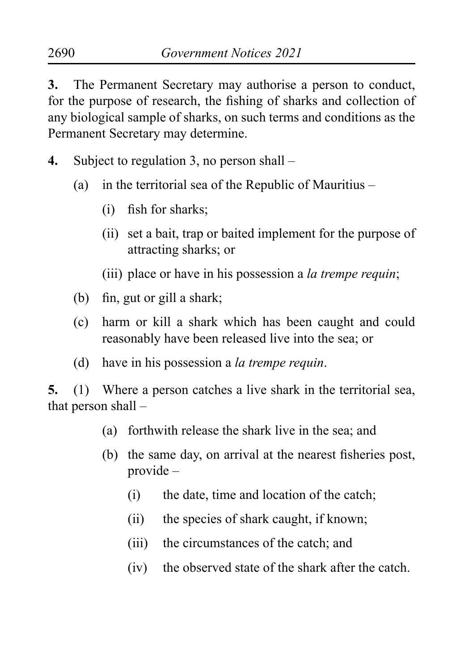**3.** The Permanent Secretary may authorise a person to conduct, for the purpose of research, the fishing of sharks and collection of any biological sample of sharks, on such terms and conditions as the Permanent Secretary may determine.

- **4.** Subject to regulation 3, no person shall
	- (a) in the territorial sea of the Republic of Mauritius
		- (i) fish for sharks;
		- (ii) set a bait, trap or baited implement for the purpose of attracting sharks; or
		- (iii) place or have in his possession a *la trempe requin*;
	- (b) fin, gut or gill a shark;
	- (c) harm or kill a shark which has been caught and could reasonably have been released live into the sea; or
	- (d) have in his possession a *la trempe requin*.

**5.** (1) Where a person catches a live shark in the territorial sea, that person shall –

- (a) forthwith release the shark live in the sea; and
- (b) the same day, on arrival at the nearest fisheries post, provide –
	- (i) the date, time and location of the catch;
	- (ii) the species of shark caught, if known;
	- (iii) the circumstances of the catch; and
	- (iv) the observed state of the shark after the catch.